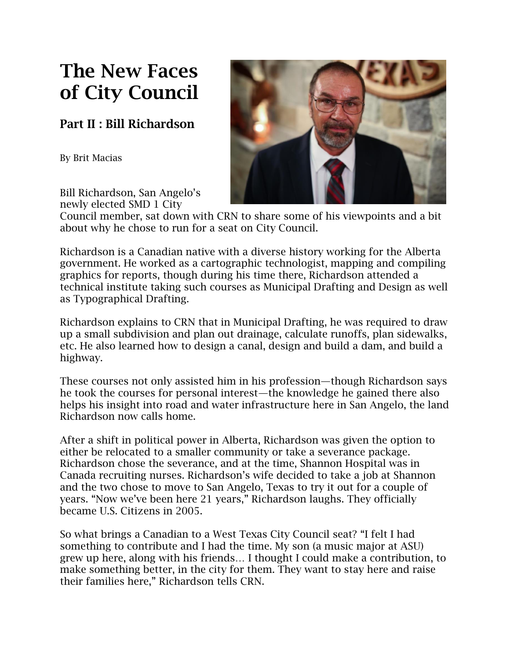## **The New Faces of City Council**

## **Part II : Bill Richardson**

By Brit Macias



Bill Richardson, San Angelo's newly elected SMD 1 City

Council member, sat down with CRN to share some of his viewpoints and a bit about why he chose to run for a seat on City Council.

Richardson is a Canadian native with a diverse history working for the Alberta government. He worked as a cartographic technologist, mapping and compiling graphics for reports, though during his time there, Richardson attended a technical institute taking such courses as Municipal Drafting and Design as well as Typographical Drafting.

Richardson explains to CRN that in Municipal Drafting, he was required to draw up a small subdivision and plan out drainage, calculate runoffs, plan sidewalks, etc. He also learned how to design a canal, design and build a dam, and build a highway.

These courses not only assisted him in his profession—though Richardson says he took the courses for personal interest—the knowledge he gained there also helps his insight into road and water infrastructure here in San Angelo, the land Richardson now calls home.

After a shift in political power in Alberta, Richardson was given the option to either be relocated to a smaller community or take a severance package. Richardson chose the severance, and at the time, Shannon Hospital was in Canada recruiting nurses. Richardson's wife decided to take a job at Shannon and the two chose to move to San Angelo, Texas to try it out for a couple of years. "Now we've been here 21 years," Richardson laughs. They officially became U.S. Citizens in 2005.

So what brings a Canadian to a West Texas City Council seat? "I felt I had something to contribute and I had the time. My son (a music major at ASU) grew up here, along with his friends… I thought I could make a contribution, to make something better, in the city for them. They want to stay here and raise their families here," Richardson tells CRN.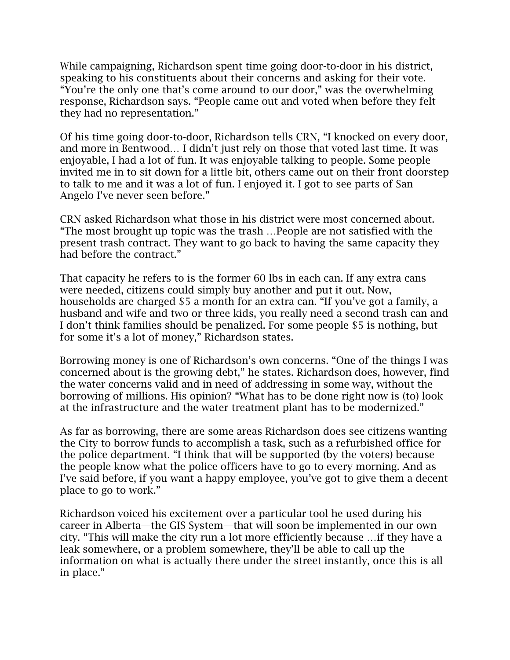While campaigning, Richardson spent time going door-to-door in his district, speaking to his constituents about their concerns and asking for their vote. "You're the only one that's come around to our door," was the overwhelming response, Richardson says. "People came out and voted when before they felt they had no representation."

Of his time going door-to-door, Richardson tells CRN, "I knocked on every door, and more in Bentwood… I didn't just rely on those that voted last time. It was enjoyable, I had a lot of fun. It was enjoyable talking to people. Some people invited me in to sit down for a little bit, others came out on their front doorstep to talk to me and it was a lot of fun. I enjoyed it. I got to see parts of San Angelo I've never seen before."

CRN asked Richardson what those in his district were most concerned about. "The most brought up topic was the trash …People are not satisfied with the present trash contract. They want to go back to having the same capacity they had before the contract."

That capacity he refers to is the former 60 lbs in each can. If any extra cans were needed, citizens could simply buy another and put it out. Now, households are charged \$5 a month for an extra can. "If you've got a family, a husband and wife and two or three kids, you really need a second trash can and I don't think families should be penalized. For some people \$5 is nothing, but for some it's a lot of money," Richardson states.

Borrowing money is one of Richardson's own concerns. "One of the things I was concerned about is the growing debt," he states. Richardson does, however, find the water concerns valid and in need of addressing in some way, without the borrowing of millions. His opinion? "What has to be done right now is (to) look at the infrastructure and the water treatment plant has to be modernized."

As far as borrowing, there are some areas Richardson does see citizens wanting the City to borrow funds to accomplish a task, such as a refurbished office for the police department. "I think that will be supported (by the voters) because the people know what the police officers have to go to every morning. And as I've said before, if you want a happy employee, you've got to give them a decent place to go to work."

Richardson voiced his excitement over a particular tool he used during his career in Alberta—the GIS System—that will soon be implemented in our own city. "This will make the city run a lot more efficiently because …if they have a leak somewhere, or a problem somewhere, they'll be able to call up the information on what is actually there under the street instantly, once this is all in place."